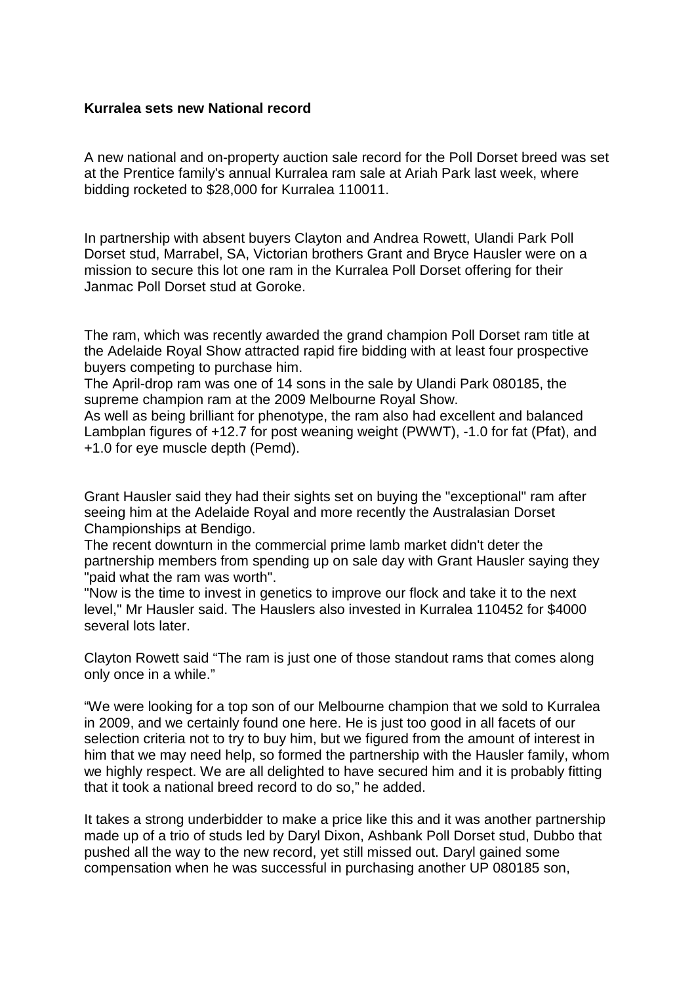## **Kurralea sets new National record**

A new national and on-property auction sale record for the Poll Dorset breed was set at the Prentice family's annual Kurralea ram sale at Ariah Park last week, where bidding rocketed to \$28,000 for Kurralea 110011.

In partnership with absent buyers Clayton and Andrea Rowett, Ulandi Park Poll Dorset stud, Marrabel, SA, Victorian brothers Grant and Bryce Hausler were on a mission to secure this lot one ram in the Kurralea Poll Dorset offering for their Janmac Poll Dorset stud at Goroke.

The ram, which was recently awarded the grand champion Poll Dorset ram title at the Adelaide Royal Show attracted rapid fire bidding with at least four prospective buyers competing to purchase him.

The April-drop ram was one of 14 sons in the sale by Ulandi Park 080185, the supreme champion ram at the 2009 Melbourne Royal Show.

As well as being brilliant for phenotype, the ram also had excellent and balanced Lambplan figures of +12.7 for post weaning weight (PWWT), -1.0 for fat (Pfat), and +1.0 for eye muscle depth (Pemd).

Grant Hausler said they had their sights set on buying the "exceptional" ram after seeing him at the Adelaide Royal and more recently the Australasian Dorset Championships at Bendigo.

The recent downturn in the commercial prime lamb market didn't deter the partnership members from spending up on sale day with Grant Hausler saying they "paid what the ram was worth".

"Now is the time to invest in genetics to improve our flock and take it to the next level," Mr Hausler said. The Hauslers also invested in Kurralea 110452 for \$4000 several lots later

Clayton Rowett said "The ram is just one of those standout rams that comes along only once in a while."

"We were looking for a top son of our Melbourne champion that we sold to Kurralea in 2009, and we certainly found one here. He is just too good in all facets of our selection criteria not to try to buy him, but we figured from the amount of interest in him that we may need help, so formed the partnership with the Hausler family, whom we highly respect. We are all delighted to have secured him and it is probably fitting that it took a national breed record to do so," he added.

It takes a strong underbidder to make a price like this and it was another partnership made up of a trio of studs led by Daryl Dixon, Ashbank Poll Dorset stud, Dubbo that pushed all the way to the new record, yet still missed out. Daryl gained some compensation when he was successful in purchasing another UP 080185 son,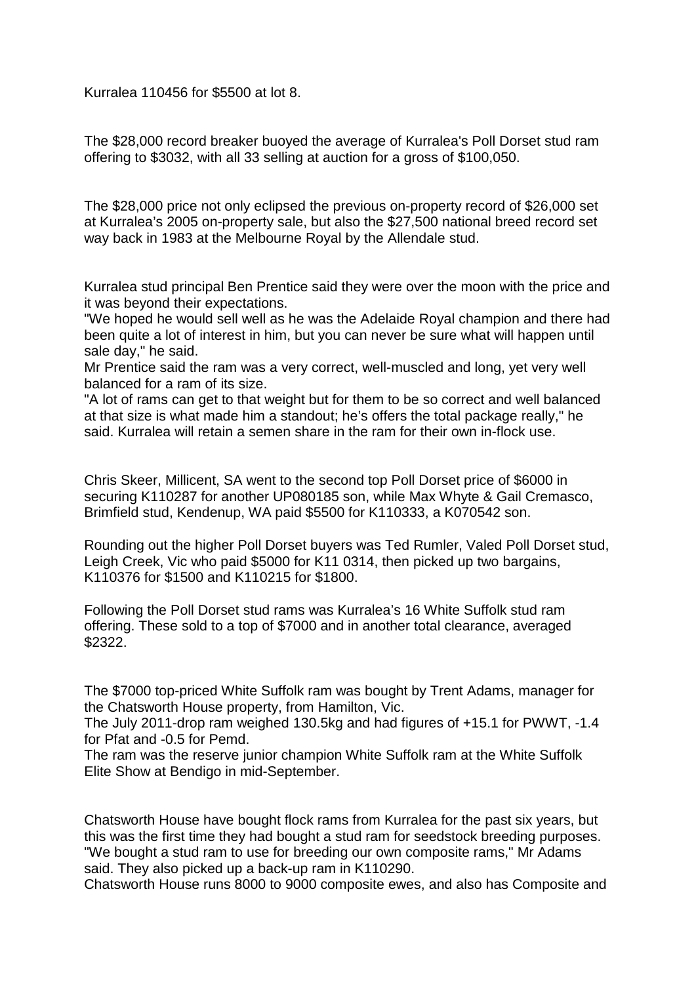Kurralea 110456 for \$5500 at lot 8.

The \$28,000 record breaker buoyed the average of Kurralea's Poll Dorset stud ram offering to \$3032, with all 33 selling at auction for a gross of \$100,050.

The \$28,000 price not only eclipsed the previous on-property record of \$26,000 set at Kurralea's 2005 on-property sale, but also the \$27,500 national breed record set way back in 1983 at the Melbourne Royal by the Allendale stud.

Kurralea stud principal Ben Prentice said they were over the moon with the price and it was beyond their expectations.

"We hoped he would sell well as he was the Adelaide Royal champion and there had been quite a lot of interest in him, but you can never be sure what will happen until sale day," he said.

Mr Prentice said the ram was a very correct, well-muscled and long, yet very well balanced for a ram of its size.

"A lot of rams can get to that weight but for them to be so correct and well balanced at that size is what made him a standout; he's offers the total package really," he said. Kurralea will retain a semen share in the ram for their own in-flock use.

Chris Skeer, Millicent, SA went to the second top Poll Dorset price of \$6000 in securing K110287 for another UP080185 son, while Max Whyte & Gail Cremasco, Brimfield stud, Kendenup, WA paid \$5500 for K110333, a K070542 son.

Rounding out the higher Poll Dorset buyers was Ted Rumler, Valed Poll Dorset stud, Leigh Creek, Vic who paid \$5000 for K11 0314, then picked up two bargains, K110376 for \$1500 and K110215 for \$1800.

Following the Poll Dorset stud rams was Kurralea's 16 White Suffolk stud ram offering. These sold to a top of \$7000 and in another total clearance, averaged \$2322.

The \$7000 top-priced White Suffolk ram was bought by Trent Adams, manager for the Chatsworth House property, from Hamilton, Vic.

The July 2011-drop ram weighed 130.5kg and had figures of +15.1 for PWWT, -1.4 for Pfat and -0.5 for Pemd.

The ram was the reserve junior champion White Suffolk ram at the White Suffolk Elite Show at Bendigo in mid-September.

Chatsworth House have bought flock rams from Kurralea for the past six years, but this was the first time they had bought a stud ram for seedstock breeding purposes. "We bought a stud ram to use for breeding our own composite rams," Mr Adams said. They also picked up a back-up ram in K110290.

Chatsworth House runs 8000 to 9000 composite ewes, and also has Composite and